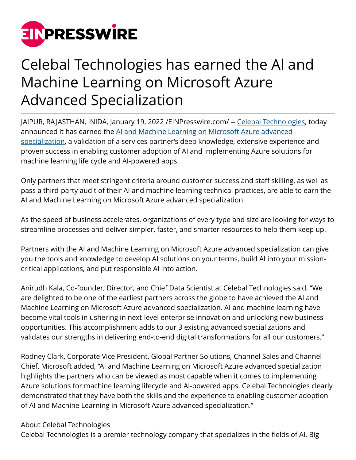

## Celebal Technologies has earned the Al and Machine Learning on Microsoft Azure Advanced Specialization

JAIPUR, RAJASTHAN, INIDA, January 19, 2022 [/EINPresswire.com/](http://www.einpresswire.com) -- [Celebal Technologies,](http://www.celebaltech.com/) today announced it has earned the [AI and Machine Learning on Microsoft Azure advanced](http://www.celebaltech.com/) [specialization](http://www.celebaltech.com/), a validation of a services partner's deep knowledge, extensive experience and proven success in enabling customer adoption of AI and implementing Azure solutions for machine learning life cycle and AI-powered apps.

Only partners that meet stringent criteria around customer success and staff skilling, as well as pass a third-party audit of their AI and machine learning technical practices, are able to earn the AI and Machine Learning on Microsoft Azure advanced specialization.

As the speed of business accelerates, organizations of every type and size are looking for ways to streamline processes and deliver simpler, faster, and smarter resources to help them keep up.

Partners with the AI and Machine Learning on Microsoft Azure advanced specialization can give you the tools and knowledge to develop AI solutions on your terms, build AI into your missioncritical applications, and put responsible AI into action.

Anirudh Kala, Co-founder, Director, and Chief Data Scientist at Celebal Technologies said, "We are delighted to be one of the earliest partners across the globe to have achieved the AI and Machine Learning on Microsoft Azure advanced specialization. AI and machine learning have become vital tools in ushering in next-level enterprise innovation and unlocking new business opportunities. This accomplishment adds to our 3 existing advanced specializations and validates our strengths in delivering end-to-end digital transformations for all our customers."

Rodney Clark, Corporate Vice President, Global Partner Solutions, Channel Sales and Channel Chief, Microsoft added, "AI and Machine Learning on Microsoft Azure advanced specialization highlights the partners who can be viewed as most capable when it comes to implementing Azure solutions for machine learning lifecycle and AI-powered apps. Celebal Technologies clearly demonstrated that they have both the skills and the experience to enabling customer adoption of AI and Machine Learning in Microsoft Azure advanced specialization."

## About Celebal Technologies

Celebal Technologies is a premier technology company that specializes in the fields of AI, Big